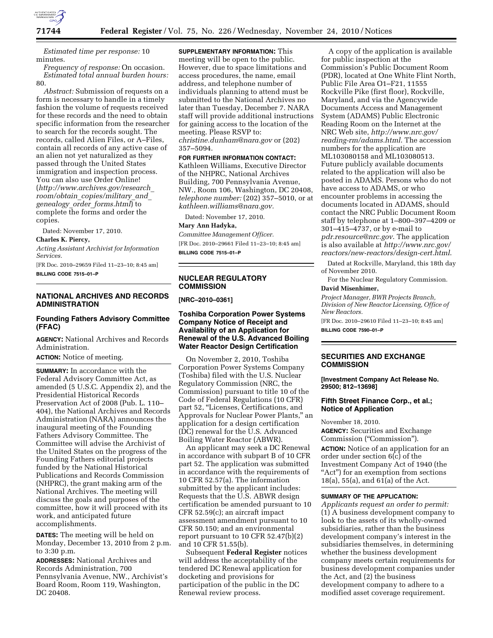

*Estimated time per response:* 10 minutes.

*Frequency of response:* On occasion. *Estimated total annual burden hours:*  80.

*Abstract:* Submission of requests on a form is necessary to handle in a timely fashion the volume of requests received for these records and the need to obtain specific information from the researcher to search for the records sought. The records, called Alien Files, or A–Files, contain all records of any active case of an alien not yet naturalized as they passed through the United States immigration and inspection process. You can also use Order Online! (*[http://www.archives.gov/research](http://www.archives.gov/research_room/obtain_copies/military_and_genealogy_order_forms.html)*\_ *room/obtain*\_*[copies/military](http://www.archives.gov/research_room/obtain_copies/military_and_genealogy_order_forms.html)*\_*and*\_ *genealogy*\_*order*\_*[forms.html](http://www.archives.gov/research_room/obtain_copies/military_and_genealogy_order_forms.html)*) to complete the forms and order the copies.

Dated: November 17, 2010.

#### **Charles K. Piercy,**

*Acting Assistant Archivist for Information Services.* 

[FR Doc. 2010–29659 Filed 11–23–10; 8:45 am] **BILLING CODE 7515–01–P** 

# **NATIONAL ARCHIVES AND RECORDS ADMINISTRATION**

# **Founding Fathers Advisory Committee (FFAC)**

**AGENCY:** National Archives and Records Administration.

**ACTION:** Notice of meeting.

**SUMMARY:** In accordance with the Federal Advisory Committee Act, as amended (5 U.S.C. Appendix 2), and the Presidential Historical Records Preservation Act of 2008 (Pub. L. 110– 404), the National Archives and Records Administration (NARA) announces the inaugural meeting of the Founding Fathers Advisory Committee. The Committee will advise the Archivist of the United States on the progress of the Founding Fathers editorial projects funded by the National Historical Publications and Records Commission (NHPRC), the grant making arm of the National Archives. The meeting will discuss the goals and purposes of the committee, how it will proceed with its work, and anticipated future accomplishments.

**DATES:** The meeting will be held on Monday, December 13, 2010 from 2 p.m. to 3:30 p.m.

**ADDRESSES:** National Archives and Records Administration, 700 Pennsylvania Avenue, NW., Archivist's Board Room, Room 119, Washington, DC 20408.

**SUPPLEMENTARY INFORMATION:** This meeting will be open to the public. However, due to space limitations and access procedures, the name, email address, and telephone number of individuals planning to attend must be submitted to the National Archives no later than Tuesday, December 7. NARA staff will provide additional instructions for gaining access to the location of the meeting. Please RSVP to: *[christine.dunham@nara.gov](mailto:christine.dunham@nara.gov)* or (202) 357–5094.

#### **FOR FURTHER INFORMATION CONTACT:**

Kathleen Williams, Executive Director of the NHPRC, National Archives Building, 700 Pennsylvania Avenue, NW., Room 106, Washington, DC 20408, *telephone number:* (202) 357–5010, or at *[kathleen.williams@nara.gov.](mailto:kathleen.williams@nara.gov)* 

Dated: November 17, 2010.

### **Mary Ann Hadyka,**

*Committee Management Officer.* 

[FR Doc. 2010–29661 Filed 11–23–10; 8:45 am] **BILLING CODE 7515–01–P** 

# **NUCLEAR REGULATORY COMMISSION**

**[NRC–2010–0361]** 

# **Toshiba Corporation Power Systems Company Notice of Receipt and Availability of an Application for Renewal of the U.S. Advanced Boiling Water Reactor Design Certification**

On November 2, 2010, Toshiba Corporation Power Systems Company (Toshiba) filed with the U.S. Nuclear Regulatory Commission (NRC, the Commission) pursuant to title 10 of the Code of Federal Regulations (10 CFR) part 52, "Licenses, Certifications, and Approvals for Nuclear Power Plants,'' an application for a design certification (DC) renewal for the U.S. Advanced Boiling Water Reactor (ABWR).

An applicant may seek a DC Renewal in accordance with subpart B of 10 CFR part 52. The application was submitted in accordance with the requirements of 10 CFR 52.57(a). The information submitted by the applicant includes: Requests that the U.S. ABWR design certification be amended pursuant to 10 CFR 52.59(c); an aircraft impact assessment amendment pursuant to 10 CFR 50.150; and an environmental report pursuant to 10 CFR 52.47(b)(2) and 10 CFR 51.55(b).

Subsequent **Federal Register** notices will address the acceptability of the tendered DC Renewal application for docketing and provisions for participation of the public in the DC Renewal review process.

A copy of the application is available for public inspection at the Commission's Public Document Room (PDR), located at One White Flint North, Public File Area O1–F21, 11555 Rockville Pike (first floor), Rockville, Maryland, and via the Agencywide Documents Access and Management System (ADAMS) Public Electronic Reading Room on the Internet at the NRC Web site, *[http://www.nrc.gov/](http://www.nrc.gov/reading-rm/adams.html) [reading-rm/adams.html](http://www.nrc.gov/reading-rm/adams.html)*. The accession numbers for the application are ML103080158 and ML103080513. Future publicly available documents related to the application will also be posted in ADAMS. Persons who do not have access to ADAMS, or who encounter problems in accessing the documents located in ADAMS, should contact the NRC Public Document Room staff by telephone at 1–800–397–4209 or 301–415–4737, or by e-mail to *[pdr.resource@nrc.gov](mailto:pdr.resource@nrc.gov)*. The application is also available at *[http://www.nrc.gov/](http://www.nrc.gov/reactors/new-reactors/design-cert.html)  [reactors/new-reactors/design-cert.html](http://www.nrc.gov/reactors/new-reactors/design-cert.html)*.

Dated at Rockville, Maryland, this 18th day of November 2010.

For the Nuclear Regulatory Commission. **David Misenhimer,** 

# *Project Manager, BWR Projects Branch,*

*Division of New Reactor Licensing, Office of New Reactors.* 

[FR Doc. 2010–29610 Filed 11–23–10; 8:45 am] **BILLING CODE 7590–01–P** 

### **SECURITIES AND EXCHANGE COMMISSION**

**[Investment Company Act Release No. 29500; 812–13698]** 

#### **Fifth Street Finance Corp., et al.; Notice of Application**

November 18, 2010.

**AGENCY:** Securities and Exchange Commission (''Commission'').

**ACTION:** Notice of an application for an order under section 6(c) of the Investment Company Act of 1940 (the "Act") for an exemption from sections 18(a), 55(a), and 61(a) of the Act.

#### **SUMMARY OF THE APPLICATION:**

*Applicants request an order to permit:*  (1) A business development company to look to the assets of its wholly-owned subsidiaries, rather than the business development company's interest in the subsidiaries themselves, in determining whether the business development company meets certain requirements for business development companies under the Act, and (2) the business development company to adhere to a modified asset coverage requirement.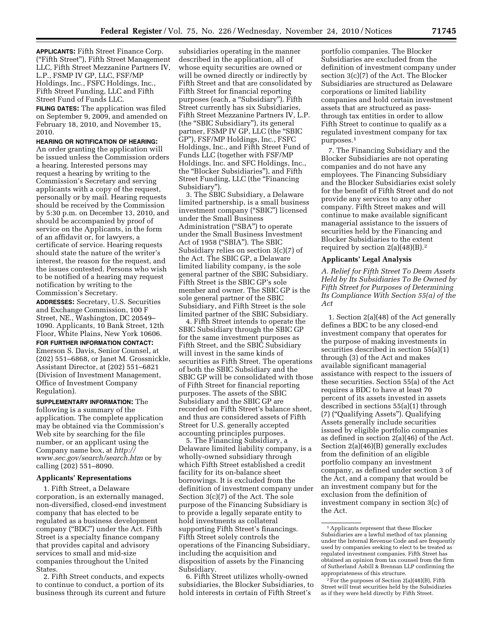**APPLICANTS:** Fifth Street Finance Corp. (''Fifth Street''), Fifth Street Management LLC, Fifth Street Mezzanine Partners IV, L.P., FSMP IV GP, LLC, FSF/MP Holdings, Inc., FSFC Holdings, Inc., Fifth Street Funding, LLC and Fifth Street Fund of Funds LLC.

**FILING DATES:** The application was filed on September 9, 2009, and amended on February 18, 2010, and November 15, 2010.

### **HEARING OR NOTIFICATION OF HEARING:**

An order granting the application will be issued unless the Commission orders a hearing. Interested persons may request a hearing by writing to the Commission's Secretary and serving applicants with a copy of the request, personally or by mail. Hearing requests should be received by the Commission by 5:30 p.m. on December 13, 2010, and should be accompanied by proof of service on the Applicants, in the form of an affidavit or, for lawyers, a certificate of service. Hearing requests should state the nature of the writer's interest, the reason for the request, and the issues contested. Persons who wish to be notified of a hearing may request notification by writing to the Commission's Secretary.

**ADDRESSES:** Secretary, U.S. Securities and Exchange Commission, 100 F Street, NE., Washington, DC 20549– 1090. Applicants, 10 Bank Street, 12th Floor, White Plains, New York 10606.

#### **FOR FURTHER INFORMATION CONTACT:**

Emerson S. Davis, Senior Counsel, at (202) 551–6868, or Janet M. Grossnickle, Assistant Director, at (202) 551–6821 (Division of Investment Management, Office of Investment Company Regulation).

**SUPPLEMENTARY INFORMATION:** The following is a summary of the application. The complete application may be obtained via the Commission's Web site by searching for the file number, or an applicant using the Company name box, at *[http://](http://www.sec.gov/search/search.htm) [www.sec.gov/search/search.htm](http://www.sec.gov/search/search.htm)* or by calling (202) 551–8090.

#### **Applicants' Representations**

1. Fifth Street, a Delaware corporation, is an externally managed, non-diversified, closed-end investment company that has elected to be regulated as a business development company (''BDC'') under the Act. Fifth Street is a specialty finance company that provides capital and advisory services to small and mid-size companies throughout the United States.

2. Fifth Street conducts, and expects to continue to conduct, a portion of its business through its current and future

subsidiaries operating in the manner described in the application, all of whose equity securities are owned or will be owned directly or indirectly by Fifth Street and that are consolidated by Fifth Street for financial reporting purposes (each, a ''Subsidiary''). Fifth Street currently has six Subsidiaries, Fifth Street Mezzanine Partners IV, L.P. (the ''SBIC Subsidiary''), its general partner, FSMP IV GP, LLC (the "SBIC GP''), FSF/MP Holdings, Inc., FSFC Holdings, Inc., and Fifth Street Fund of Funds LLC (together with FSF/MP Holdings, Inc. and SFC Holdings, Inc., the ''Blocker Subsidiaries''), and Fifth Street Funding, LLC (the "Financing Subsidiary'').

3. The SBIC Subsidiary, a Delaware limited partnership, is a small business investment company (''SBIC'') licensed under the Small Business Administration ("SBA") to operate under the Small Business Investment Act of 1958 (''SBIA''). The SBIC Subsidiary relies on section 3(c)(7) of the Act. The SBIC GP, a Delaware limited liability company, is the sole general partner of the SBIC Subsidiary. Fifth Street is the SBIC GP's sole member and owner. The SBIC GP is the sole general partner of the SBIC Subsidiary, and Fifth Street is the sole limited partner of the SBIC Subsidiary.

4. Fifth Street intends to operate the SBIC Subsidiary through the SBIC GP for the same investment purposes as Fifth Street, and the SBIC Subsidiary will invest in the same kinds of securities as Fifth Street. The operations of both the SBIC Subsidiary and the SBIC GP will be consolidated with those of Fifth Street for financial reporting purposes. The assets of the SBIC Subsidiary and the SBIC GP are recorded on Fifth Street's balance sheet, and thus are considered assets of Fifth Street for U.S. generally accepted accounting principles purposes.

5. The Financing Subsidiary, a Delaware limited liability company, is a wholly-owned subsidiary through which Fifth Street established a credit facility for its on-balance sheet borrowings. It is excluded from the definition of investment company under Section 3(c)(7) of the Act. The sole purpose of the Financing Subsidiary is to provide a legally separate entity to hold investments as collateral supporting Fifth Street's financings. Fifth Street solely controls the operations of the Financing Subsidiary, including the acquisition and disposition of assets by the Financing Subsidiary.

6. Fifth Street utilizes wholly-owned subsidiaries, the Blocker Subsidiaries, to hold interests in certain of Fifth Street's

portfolio companies. The Blocker Subsidiaries are excluded from the definition of investment company under section 3(c)(7) of the Act. The Blocker Subsidiaries are structured as Delaware corporations or limited liability companies and hold certain investment assets that are structured as passthrough tax entities in order to allow Fifth Street to continue to qualify as a regulated investment company for tax purposes.1

7. The Financing Subsidiary and the Blocker Subsidiaries are not operating companies and do not have any employees. The Financing Subsidiary and the Blocker Subsidiaries exist solely for the benefit of Fifth Street and do not provide any services to any other company. Fifth Street makes and will continue to make available significant managerial assistance to the issuers of securities held by the Financing and Blocker Subsidiaries to the extent required by section  $2(a)(48)(B).<sup>2</sup>$ 

#### **Applicants' Legal Analysis**

*A. Relief for Fifth Street To Deem Assets Held by Its Subsidiaries To Be Owned by Fifth Street for Purposes of Determining Its Compliance With Section 55(a) of the Act* 

1. Section 2(a)(48) of the Act generally defines a BDC to be any closed-end investment company that operates for the purpose of making investments in securities described in section 55(a)(1) through (3) of the Act and makes available significant managerial assistance with respect to the issuers of these securities. Section 55(a) of the Act requires a BDC to have at least 70 percent of its assets invested in assets described in sections 55(a)(1) through (7) (''Qualifying Assets''). Qualifying Assets generally include securities issued by eligible portfolio companies as defined in section 2(a)(46) of the Act. Section 2(a)(46)(B) generally excludes from the definition of an eligible portfolio company an investment company, as defined under section 3 of the Act, and a company that would be an investment company but for the exclusion from the definition of investment company in section 3(c) of the Act.

<sup>1</sup>Applicants represent that these Blocker Subsidiaries are a lawful method of tax planning under the Internal Revenue Code and are frequently used by companies seeking to elect to be treated as regulated investment companies. Fifth Street has obtained an opinion from tax counsel from the firm of Sutherland Asbill & Brennan LLP confirming the appropriateness of this structure.

 $2$  For the purposes of Section 2(a)(48)(B), Fifth Street will treat securities held by the Subsidiaries as if they were held directly by Fifth Street.